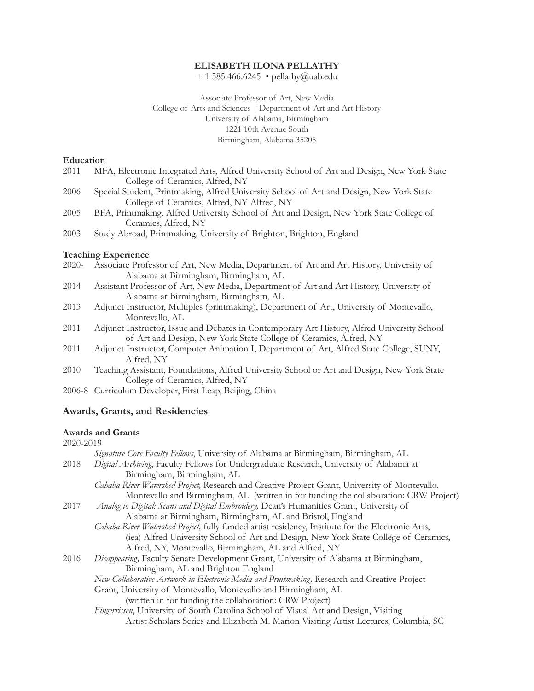#### **ELISABETH ILONA PELLATHY**

+ 1 585.466.6245 • pellathy@uab.edu

Associate Professor of Art, New Media College of Arts and Sciences | Department of Art and Art History University of Alabama, Birmingham 1221 10th Avenue South Birmingham, Alabama 35205

#### **Education**

- 2011 MFA, Electronic Integrated Arts, Alfred University School of Art and Design, New York State College of Ceramics, Alfred, NY
- 2006 Special Student, Printmaking, Alfred University School of Art and Design, New York State College of Ceramics, Alfred, NY Alfred, NY
- 2005 BFA, Printmaking, Alfred University School of Art and Design, New York State College of Ceramics, Alfred, NY
- 2003 Study Abroad, Printmaking, University of Brighton, Brighton, England

#### **Teaching Experience**

- 2020- Associate Professor of Art, New Media, Department of Art and Art History, University of Alabama at Birmingham, Birmingham, AL
- 2014 Assistant Professor of Art, New Media, Department of Art and Art History, University of Alabama at Birmingham, Birmingham, AL
- 2013 Adjunct Instructor, Multiples (printmaking), Department of Art, University of Montevallo, Montevallo, AL
- 2011 Adjunct Instructor, Issue and Debates in Contemporary Art History, Alfred University School of Art and Design, New York State College of Ceramics, Alfred, NY
- 2011 Adjunct Instructor, Computer Animation I, Department of Art, Alfred State College, SUNY, Alfred, NY
- 2010 Teaching Assistant, Foundations, Alfred University School or Art and Design, New York State College of Ceramics, Alfred, NY
- 2006-8 Curriculum Developer, First Leap, Beijing, China

#### **Awards, Grants, and Residencies**

#### **Awards and Grants**

#### 2020-2019

|      | Signature Core Faculty Fellows, University of Alabama at Birmingham, Birmingham, AL               |
|------|---------------------------------------------------------------------------------------------------|
| 2018 | Digital Archiving, Faculty Fellows for Undergraduate Research, University of Alabama at           |
|      | Birmingham, Birmingham, AL                                                                        |
|      | Cahaba River Watershed Project, Research and Creative Project Grant, University of Montevallo,    |
|      | Montevallo and Birmingham, AL (written in for funding the collaboration: CRW Project)             |
| 2017 | Analog to Digital: Scans and Digital Embroidery, Dean's Humanities Grant, University of           |
|      | Alabama at Birmingham, Birmingham, AL and Bristol, England                                        |
|      | Cahaba River Watershed Project, fully funded artist residency, Institute for the Electronic Arts, |
|      | (iea) Alfred University School of Art and Design, New York State College of Ceramics,             |
|      | Alfred, NY, Montevallo, Birmingham, AL and Alfred, NY                                             |
| 2016 | Disappearing, Faculty Senate Development Grant, University of Alabama at Birmingham,              |
|      | Birmingham, AL and Brighton England                                                               |
|      | New Collaborative Artwork in Electronic Media and Printmaking, Research and Creative Project      |
|      | Grant, University of Montevallo, Montevallo and Birmingham, AL                                    |
|      | (written in for funding the collaboration: CRW Project)                                           |
|      | Fingerrissen, University of South Carolina School of Visual Art and Design, Visiting              |
|      | Artist Scholars Series and Elizabeth M. Marion Visiting Artist Lectures, Columbia, SC             |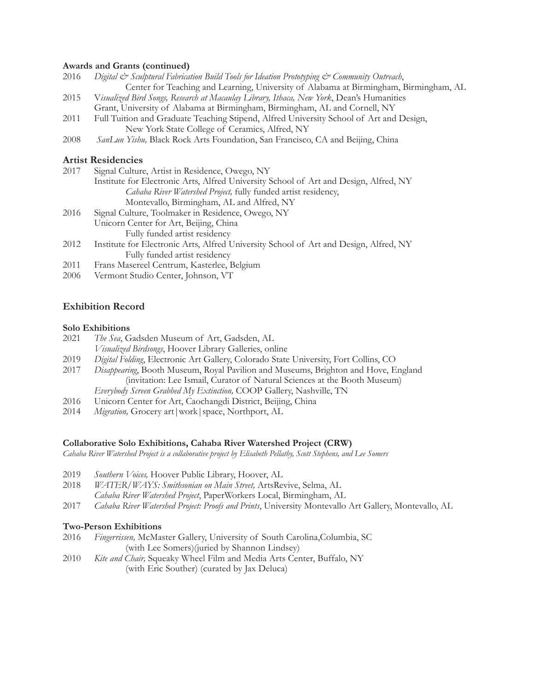# **Awards and Grants (continued)**

|      | $1100$ and $0100$ (continued)                                                                                           |
|------|-------------------------------------------------------------------------------------------------------------------------|
| 2016 | Digital $\mathcal{O}^s$ Sculptural Fabrication Build Tools for Ideation Prototyping $\mathcal{O}^s$ Community Outreach, |
|      | Center for Teaching and Learning, University of Alabama at Birmingham, Birmingham, AL                                   |
| 2015 | Visualized Bird Songs, Research at Macaulay Library, Ithaca, New York, Dean's Humanities                                |
|      | Grant, University of Alabama at Birmingham, Birmingham, AL and Cornell, NY                                              |
| 2011 | Full Tuition and Graduate Teaching Stipend, Alfred University School of Art and Design,                                 |
|      | New York State College of Ceramics, Alfred, NY                                                                          |
| 2008 | SanLun Yishu, Black Rock Arts Foundation, San Francisco, CA and Beijing, China                                          |
|      | <b>Artist Residencies</b>                                                                                               |
| 2017 | Signal Culture, Artist in Residence, Owego, NY                                                                          |
|      | Institute for Electronic Arts, Alfred University School of Art and Design, Alfred, NY                                   |
|      | Cahaba River Watershed Project, fully funded artist residency,                                                          |
|      | Montevallo, Birmingham, AL and Alfred, NY                                                                               |
| 2016 | Signal Culture, Toolmaker in Residence, Owego, NY                                                                       |
|      | Unicorn Center for Art, Beijing, China                                                                                  |
|      | Fully funded artist residency                                                                                           |
| 2012 | Institute for Electronic Arts, Alfred University School of Art and Design, Alfred, NY                                   |
|      | Fully funded artist residency                                                                                           |
| 2011 | Frans Masereel Centrum, Kasterlee, Belgium                                                                              |
| 2006 | Vermont Studio Center, Johnson, VT                                                                                      |
|      |                                                                                                                         |

# **Exhibition Record**

#### **Solo Exhibitions**

- 2021 *The Sea*, Gadsden Museum of Art, Gadsden, AL *Visualized Birdsongs*, Hoover Library Galleries, online
- 2019 *Digital Folding*, Electronic Art Gallery, Colorado State University, Fort Collins, CO
- 2017 *Disappearing*, Booth Museum, Royal Pavilion and Museums, Brighton and Hove, England (invitation: Lee Ismail, Curator of Natural Sciences at the Booth Museum) *Everybody Screen Grabbed My Extinction,* COOP Gallery, Nashville, TN
- 2016 Unicorn Center for Art, Caochangdi District, Beijing, China
- 2014 *Migration,* Grocery art|work|space, Northport, AL

# **Collaborative Solo Exhibitions, Cahaba River Watershed Project (CRW)**

*Cahaba River Watershed Project is a collaborative project by Elisabeth Pellathy, Scott Stephens, and Lee Somers*

- 2019 *Southern Voices,* Hoover Public Library, Hoover, AL
- 2018 *WATER/WAYS: Smithsonian on Main Street,* ArtsRevive, Selma, AL *Cahaba River Watershed Project*, PaperWorkers Local, Birmingham, AL
- 2017 *Cahaba River Watershed Project: Proofs and Prints*, University Montevallo Art Gallery, Montevallo, AL

# **Two-Person Exhibitions**

- 2016 *Fingerrissen,* McMaster Gallery, University of South Carolina,Columbia, SC (with Lee Somers)(juried by Shannon Lindsey)
- 2010 *Kite and Chair,* Squeaky Wheel Film and Media Arts Center, Buffalo, NY (with Eric Souther) (curated by Jax Deluca)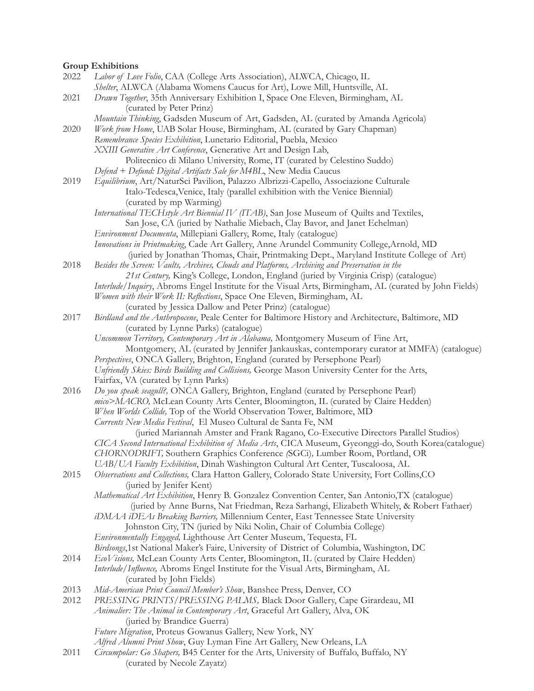# **Group Exhibitions**

| 2022 | Labor of Love Folio, CAA (College Arts Association), ALWCA, Chicago, IL                                |
|------|--------------------------------------------------------------------------------------------------------|
|      | Shelter, ALWCA (Alabama Womens Caucus for Art), Lowe Mill, Huntsville, AL                              |
| 2021 | Drawn Together, 35th Anniversary Exhibition I, Space One Eleven, Birmingham, AL                        |
|      | (curated by Peter Prinz)                                                                               |
|      | Mountain Thinking, Gadsden Museum of Art, Gadsden, AL (curated by Amanda Agricola)                     |
| 2020 | Work from Home, UAB Solar House, Birmingham, AL (curated by Gary Chapman)                              |
|      | Remembrance Species Exhibition, Lunetario Editorial, Puebla, Mexico                                    |
|      | XXIII Generative Art Conference, Generative Art and Design Lab,                                        |
|      | Politecnico di Milano University, Rome, IT (curated by Celestino Suddo)                                |
|      | Defend + Defund: Digital Artifacts Sale for M4BL, New Media Caucus                                     |
| 2019 | Equilibrium, Art/NaturSci Pavilion, Palazzo Albrizzi-Capello, Associazione Culturale                   |
|      | Italo-Tedesca, Venice, Italy (parallel exhibition with the Venice Biennial)                            |
|      | (curated by mp Warming)                                                                                |
|      | International TECHstyle Art Biennial IV (ITAB), San Jose Museum of Quilts and Textiles,                |
|      | San Jose, CA (juried by Nathalie Miebach, Clay Bavor, and Janet Echelman)                              |
|      | Environment Documenta, Millepiani Gallery, Rome, Italy (catalogue)                                     |
|      | Innovations in Printmaking, Cade Art Gallery, Anne Arundel Community College, Arnold, MD               |
|      | (juried by Jonathan Thomas, Chair, Printmaking Dept., Maryland Institute College of Art)               |
| 2018 | Besides the Screen: Vaults, Archives, Clouds and Platforms, Archiving and Preservation in the          |
|      | 21st Century, King's College, London, England (juried by Virginia Crisp) (catalogue)                   |
|      | Interlude/Inquiry, Abroms Engel Institute for the Visual Arts, Birmingham, AL (curated by John Fields) |
|      | Women with their Work II: Reflections, Space One Eleven, Birmingham, AL                                |
|      | (curated by Jessica Dallow and Peter Prinz) (catalogue)                                                |
| 2017 | Birdland and the Anthropocene, Peale Center for Baltimore History and Architecture, Baltimore, MD      |
|      | (curated by Lynne Parks) (catalogue)                                                                   |
|      | Uncommon Territory, Contemporary Art in Alabama, Montgomery Museum of Fine Art,                        |
|      | Montgomery, AL (curated by Jennifer Jankauskas, contemporary curator at MMFA) (catalogue)              |
|      | Perspectives, ONCA Gallery, Brighton, England (curated by Persephone Pearl)                            |
|      | Unfriendly Skies: Birds Building and Collisions, George Mason University Center for the Arts,          |
|      | Fairfax, VA (curated by Lynn Parks)                                                                    |
| 2016 | Do you speak seagull?, ONCA Gallery, Brighton, England (curated by Persephone Pearl)                   |
|      | mico>MACRO, McLean County Arts Center, Bloomington, IL (curated by Claire Hedden)                      |
|      | When Worlds Collide, Top of the World Observation Tower, Baltimore, MD                                 |
|      | Currents New Media Festival, El Museo Cultural de Santa Fe, NM                                         |
|      | (juried Mariannah Amster and Frank Ragano, Co-Executive Directors Parallel Studios)                    |
|      | CICA Second International Exhibition of Media Arts, CICA Museum, Gyeonggi-do, South Korea(catalogue)   |
|      | CHORNODRIFT, Southern Graphics Conference (SGCi), Lumber Room, Portland, OR                            |
|      | UAB/UA Faculty Exhibition, Dinah Washington Cultural Art Center, Tuscaloosa, AL                        |
| 2015 | Observations and Collections, Clara Hatton Gallery, Colorado State University, Fort Collins, CO        |
|      | (juried by Jenifer Kent)                                                                               |
|      | Mathematical Art Exhibition, Henry B. Gonzalez Convention Center, San Antonio, TX (catalogue)          |
|      | (juried by Anne Burns, Nat Friedman, Reza Sarhangi, Elizabeth Whitely, & Robert Fathaer)               |
|      | iDMAA iDEAs Breaking Barriers, Millennium Center, East Tennessee State University                      |
|      | Johnston City, TN (juried by Niki Nolin, Chair of Columbia College)                                    |
|      | Environmentally Engaged, Lighthouse Art Center Museum, Tequesta, FL                                    |
|      | Birdsongs,1st National Maker's Faire, University of District of Columbia, Washington, DC               |
| 2014 | EcoVisions, McLean County Arts Center, Bloomington, IL (curated by Claire Hedden)                      |
|      | Interlude/Influence, Abroms Engel Institute for the Visual Arts, Birmingham, AL                        |
|      | (curated by John Fields)                                                                               |
| 2013 | Mid-American Print Council Member's Show, Banshee Press, Denver, CO                                    |
| 2012 | PRESSING PRINTS/PRESSING PALMS, Black Door Gallery, Cape Girardeau, MI                                 |
|      | Animalier: The Animal in Contemporary Art, Graceful Art Gallery, Alva, OK                              |
|      | (juried by Brandice Guerra)                                                                            |
|      | Future Migration, Proteus Gowanus Gallery, New York, NY                                                |
|      | Alfred Alumni Print Show, Guy Lyman Fine Art Gallery, New Orleans, LA                                  |
| 2011 | Circumpolar: Go Shapers, B45 Center for the Arts, University of Buffalo, Buffalo, NY                   |
|      | (curated by Necole Zayatz)                                                                             |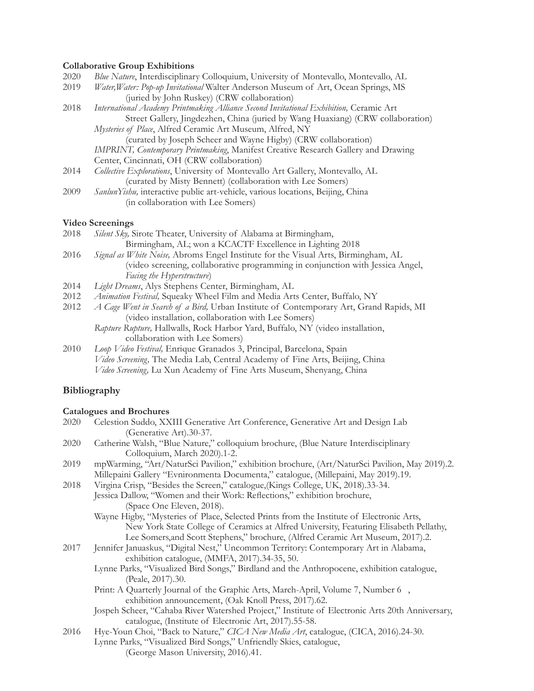# **Collaborative Group Exhibitions**

| 2020 | Blue Nature, Interdisciplinary Colloquium, University of Montevallo, Montevallo, AL                                                                                                                                                                                                                         |
|------|-------------------------------------------------------------------------------------------------------------------------------------------------------------------------------------------------------------------------------------------------------------------------------------------------------------|
| 2019 | Water, Water: Pop-up Invitational Walter Anderson Museum of Art, Ocean Springs, MS                                                                                                                                                                                                                          |
|      | $\mathbf{I}$ i $\mathbf{I}$ i $\mathbf{I}$ i $\mathbf{I}$ i $\mathbf{I}$ i $\mathbf{I}$ i $\mathbf{I}$ i $\mathbf{I}$ i $\mathbf{I}$ i $\mathbf{I}$ i $\mathbf{I}$ i $\mathbf{I}$ i $\mathbf{I}$ i $\mathbf{I}$ i $\mathbf{I}$ i $\mathbf{I}$ i $\mathbf{I}$ i $\mathbf{I}$ i $\mathbf{I}$ i $\mathbf{I}$ i |

 (juried by John Ruskey) (CRW collaboration) 2018 *International Academy Printmaking Alliance Second Invitational Exhibition, Ceramic Art*  Street Gallery, Jingdezhen, China (juried by Wang Huaxiang) (CRW collaboration) *Mysteries of Place*, Alfred Ceramic Art Museum, Alfred, NY (curated by Joseph Scheer and Wayne Higby) (CRW collaboration) *IMPRINT, Contemporary Printmaking*, Manifest Creative Research Gallery and Drawing

Center, Cincinnati, OH (CRW collaboration)

- 2014 *Collective Explorations*, University of Montevallo Art Gallery, Montevallo, AL (curated by Misty Bennett) (collaboration with Lee Somers)
- 2009 *SanlunYishu,* interactive public art-vehicle, various locations, Beijing, China (in collaboration with Lee Somers)

#### **Video Screenings**

- 2018 *Silent Sky,* Sirote Theater, University of Alabama at Birmingham, Birmingham, AL; won a KCACTF Excellence in Lighting 2018
- 2016 *Signal as White Noise,* Abroms Engel Institute for the Visual Arts, Birmingham, AL (video screening, collaborative programming in conjunction with Jessica Angel, *Facing the Hyperstructure*)
- 2014 *Light Dreams*, Alys Stephens Center, Birmingham, AL
- 2012 *Animation Festival,* Squeaky Wheel Film and Media Arts Center, Buffalo, NY
- 2012 *A Cage Went in Search of a Bird,* Urban Institute of Contemporary Art, Grand Rapids, MI (video installation, collaboration with Lee Somers)
	- *Rapture Rupture,* Hallwalls, Rock Harbor Yard, Buffalo, NY (video installation, collaboration with Lee Somers)
- 2010 *Loop Video Festival,* Enrique Granados 3, Principal, Barcelona, Spain *Video Screening,* The Media Lab, Central Academy of Fine Arts, Beijing, China *Video Screening,* Lu Xun Academy of Fine Arts Museum, Shenyang, China

# **Bibliography**

#### **Catalogues and Brochures**

- 2020 Celestion Suddo, XXIII Generative Art Conference, Generative Art and Design Lab (Generative Art).30-37.
- 2020 Catherine Walsh, "Blue Nature," colloquium brochure, (Blue Nature Interdisciplinary Colloquium, March 2020).1-2.
- 2019 mpWarming, "Art/NaturSci Pavilion," exhibition brochure, (Art/NaturSci Pavilion, May 2019).2. Millepaini Gallery "Evnironmenta Documenta," catalogue, (Millepaini, May 2019).19.
- 2018 Virgina Crisp, "Besides the Screen," catalogue,(Kings College, UK, 2018).33-34. Jessica Dallow, "Women and their Work: Refections," exhibition brochure, (Space One Eleven, 2018).
	- Wayne Higby, "Mysteries of Place, Selected Prints from the Institute of Electronic Arts, New York State College of Ceramics at Alfred University, Featuring Elisabeth Pellathy, Lee Somers,and Scott Stephens," brochure, (Alfred Ceramic Art Museum, 2017).2.
- 2017 Jennifer Januaskus, "Digital Nest," Uncommon Territory: Contemporary Art in Alabama, exhibition catalogue, (MMFA, 2017).34-35, 50.
	- Lynne Parks, "Visualized Bird Songs," Birdland and the Anthropocene, exhibition catalogue, (Peale, 2017).30.
	- Print: A Quarterly Journal of the Graphic Arts, March-April, Volume 7, Number 6, exhibition announcement, (Oak Knoll Press, 2017).62.
	- Jospeh Scheer, "Cahaba River Watershed Project," Institute of Electronic Arts 20th Anniversary, catalogue, (Institute of Electronic Art, 2017).55-58.
- 2016 Hye-Youn Choi, "Back to Nature," *CICA New Media Art*, catalogue, (CICA, 2016).24-30. Lynne Parks, "Visualized Bird Songs," Unfriendly Skies, catalogue, (George Mason University, 2016).41.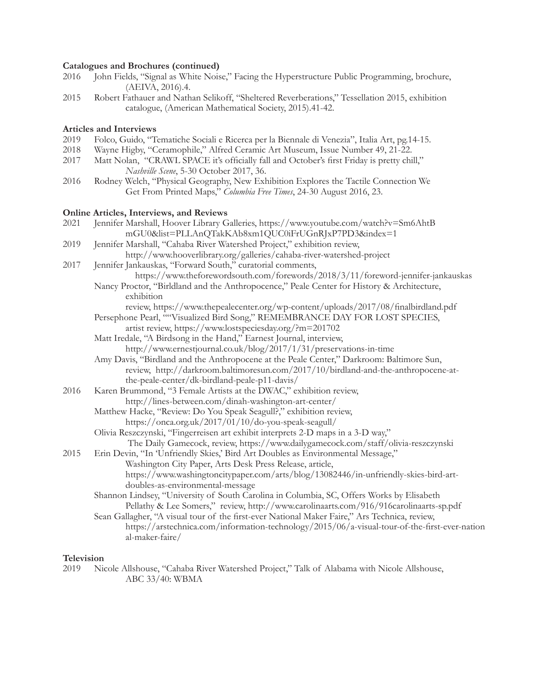#### **Catalogues and Brochures (continued)**

- 2016 John Fields, "Signal as White Noise," Facing the Hyperstructure Public Programming, brochure, (AEIVA, 2016).4.
- 2015 Robert Fathauer and Nathan Selikoff, "Sheltered Reverberations," Tessellation 2015, exhibition catalogue, (American Mathematical Society, 2015).41-42.

# **Articles and Interviews**

- 2019 Folco, Guido, "Tematiche Sociali e Ricerca per la Biennale di Venezia", Italia Art, pg.14-15.
- 2018 Wayne Higby, "Ceramophile," Alfred Ceramic Art Museum, Issue Number 49, 21-22.
- 2017 Matt Nolan, "CRAWL SPACE it's officially fall and October's first Friday is pretty chill,"  *Nashville Scene*, 5-30 October 2017, 36.
- 2016 Rodney Welch, "Physical Geography, New Exhibition Explores the Tactile Connection We Get From Printed Maps," *Columbia Free Times*, 24-30 August 2016, 23.

#### **Online Articles, Interviews, and Reviews**

- 2021 Jennifer Marshall, Hoover Library Galleries, https://www.youtube.com/watch?v=Sm6AhtB mGU0&list=PLLAnQTakKAb8xm1QUC0iFrUGnRJxP7PD3&index=1
- 2019 Jennifer Marshall, "Cahaba River Watershed Project," exhibition review, http://www.hooverlibrary.org/galleries/cahaba-river-watershed-project
- 2017 Jennifer Jankauskas, "Forward South," curatorial comments, https://www.theforewordsouth.com/forewords/2018/3/11/foreword-jennifer-jankauskas
	- Nancy Proctor, "Birldland and the Anthropocence," Peale Center for History & Architecture, exhibition
		- review, https://www.thepealecenter.org/wp-content/uploads/2017/08/fnalbirdland.pdf
	- Persephone Pearl, ""Visualized Bird Song," REMEMBRANCE DAY FOR LOST SPECIES, artist review, https://www.lostspeciesday.org/?m=201702
	- Matt Iredale, "A Birdsong in the Hand," Earnest Journal, interview, http://www.ernestjournal.co.uk/blog/2017/1/31/preservations-in-time
	- Amy Davis, "Birdland and the Anthropocene at the Peale Center," Darkroom: Baltimore Sun, review, http://darkroom.baltimoresun.com/2017/10/birdland-and-the-anthropocene-at the-peale-center/dk-birdland-peale-p11-davis/
- 2016 Karen Brummond, "3 Female Artists at the DWAC," exhibition review, http://lines-between.com/dinah-washington-art-center/
	- Matthew Hacke, "Review: Do You Speak Seagull?," exhibition review, https://onca.org.uk/2017/01/10/do-you-speak-seagull/
	- Olivia Reszczynski, "Fingerreisen art exhibit interprets 2-D maps in a 3-D way," The Daily Gamecock, review, https://www.dailygamecock.com/staff/olivia-reszczynski
- 2015 Erin Devin, "In 'Unfriendly Skies,' Bird Art Doubles as Environmental Message," Washington City Paper, Arts Desk Press Release, article, https://www.washingtoncitypaper.com/arts/blog/13082446/in-unfriendly-skies-bird-art doubles-as-environmental-message
	- Shannon Lindsey, "University of South Carolina in Columbia, SC, Offers Works by Elisabeth Pellathy & Lee Somers," review, http://www.carolinaarts.com/916/916carolinaarts-sp.pdf
	- Sean Gallagher, "A visual tour of the frst-ever National Maker Faire," Ars Technica, review, https://arstechnica.com/information-technology/2015/06/a-visual-tour-of-the-frst-ever-nation al-maker-faire/

#### **Television**

2019 Nicole Allshouse, "Cahaba River Watershed Project," Talk of Alabama with Nicole Allshouse, ABC 33/40: WBMA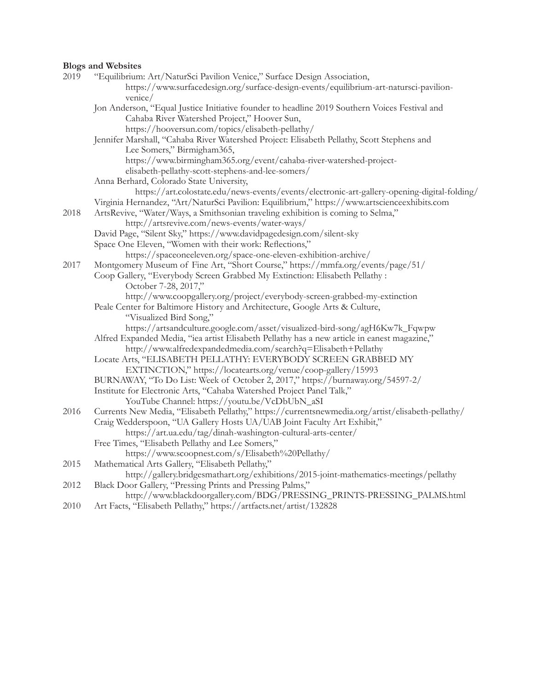# **Blogs and Websites**

| 2019 | "Equilibrium: Art/NaturSci Pavilion Venice," Surface Design Association,                           |
|------|----------------------------------------------------------------------------------------------------|
|      | https://www.surfacedesign.org/surface-design-events/equilibrium-art-natursci-pavilion-             |
|      | venice/                                                                                            |
|      | Jon Anderson, "Equal Justice Initiative founder to headline 2019 Southern Voices Festival and      |
|      | Cahaba River Watershed Project," Hoover Sun,                                                       |
|      | https://hooversun.com/topics/elisabeth-pellathy/                                                   |
|      | Jennifer Marshall, "Cahaba River Watershed Project: Elisabeth Pellathy, Scott Stephens and         |
|      | Lee Somers," Birmigham365,                                                                         |
|      | https://www.birmingham365.org/event/cahaba-river-watershed-project-                                |
|      | elisabeth-pellathy-scott-stephens-and-lee-somers/                                                  |
|      | Anna Berhard, Colorado State University,                                                           |
|      | https://art.colostate.edu/news-events/events/electronic-art-gallery-opening-digital-folding/       |
|      | Virginia Hernandez, "Art/NaturSci Pavilion: Equilibrium," https://www.artscienceexhibits.com       |
| 2018 | ArtsRevive, "Water/Ways, a Smithsonian traveling exhibition is coming to Selma,"                   |
|      | http://artsrevive.com/news-events/water-ways/                                                      |
|      | David Page, "Silent Sky," https://www.davidpagedesign.com/silent-sky                               |
|      | Space One Eleven, "Women with their work: Reflections,"                                            |
|      | https://spaceoneeleven.org/space-one-eleven-exhibition-archive/                                    |
| 2017 | Montgomery Museum of Fine Art, "Short Course," https://mmfa.org/events/page/51/                    |
|      | Coop Gallery, "Everybody Screen Grabbed My Extinction: Elisabeth Pellathy :                        |
|      | October 7-28, 2017,"                                                                               |
|      | http://www.coopgallery.org/project/everybody-screen-grabbed-my-extinction                          |
|      | Peale Center for Baltimore History and Architecture, Google Arts & Culture,                        |
|      | "Visualized Bird Song,"                                                                            |
|      | https://artsandculture.google.com/asset/visualized-bird-song/agH6Kw7k_Fqwpw                        |
|      | Alfred Expanded Media, "iea artist Elisabeth Pellathy has a new article in eanest magazine,"       |
|      | http://www.alfredexpandedmedia.com/search?q=Elisabeth+Pellathy                                     |
|      | Locate Arts, "ELISABETH PELLATHY: EVERYBODY SCREEN GRABBED MY                                      |
|      | EXTINCTION," https://locatearts.org/venue/coop-gallery/15993                                       |
|      | BURNAWAY, "To Do List: Week of October 2, 2017," https://burnaway.org/54597-2/                     |
|      | Institute for Electronic Arts, "Cahaba Watershed Project Panel Talk,"                              |
|      | YouTube Channel: https://youtu.be/VcDbUbN_aSI                                                      |
| 2016 | Currents New Media, "Elisabeth Pellathy," https://currentsnewmedia.org/artist/elisabeth-pellathy/  |
|      | Craig Wedderspoon, "UA Gallery Hosts UA/UAB Joint Faculty Art Exhibit,"                            |
|      | https://art.ua.edu/tag/dinah-washington-cultural-arts-center/                                      |
|      | Free Times, "Elisabeth Pellathy and Lee Somers,"                                                   |
|      | https://www.scoopnest.com/s/Elisabeth%20Pellathy/                                                  |
| 2015 | Mathematical Arts Gallery, "Elisabeth Pellathy,"                                                   |
|      | http://gallery.bridgesmathart.org/exhibitions/2015-joint-mathematics-meetings/pellathy             |
| 2012 | Black Door Gallery, "Pressing Prints and Pressing Palms,"                                          |
| 0.40 | http://www.blackdoorgallery.com/BDG/PRESSING_PRINTS-PRESSING_PALMS.html<br>$\Lambda$ $\Box$ $\Box$ |
|      |                                                                                                    |

2010 Art Facts, "Elisabeth Pellathy," https://artfacts.net/artist/132828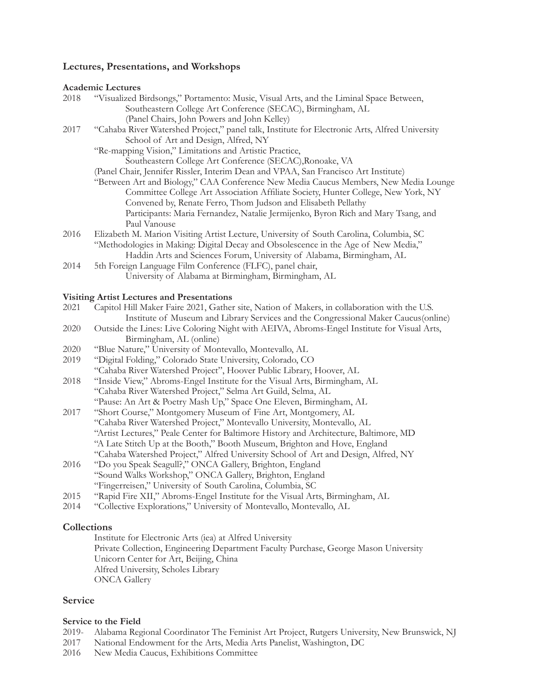# **Lectures, Presentations, and Workshops**

#### **Academic Lectures**

| 2018 | "Visualized Birdsongs," Portamento: Music, Visual Arts, and the Liminal Space Between, |
|------|----------------------------------------------------------------------------------------|
|      | Southeastern College Art Conference (SECAC), Birmingham, AL                            |
|      | (Panel Chairs, John Powers and John Kelley)                                            |

- 2017 "Cahaba River Watershed Project," panel talk, Institute for Electronic Arts, Alfred University School of Art and Design, Alfred, NY
	- "Re-mapping Vision," Limitations and Artistic Practice, Southeastern College Art Conference (SECAC),Ronoake, VA
	- (Panel Chair, Jennifer Rissler, Interim Dean and VPAA, San Francisco Art Institute)
	- "Between Art and Biology," CAA Conference New Media Caucus Members, New Media Lounge Committee College Art Association Affliate Society, Hunter College, New York, NY Convened by, Renate Ferro, Thom Judson and Elisabeth Pellathy Participants: Maria Fernandez, Natalie Jermijenko, Byron Rich and Mary Tsang, and Paul Vanouse
- 2016 Elizabeth M. Marion Visiting Artist Lecture, University of South Carolina, Columbia, SC "Methodologies in Making: Digital Decay and Obsolescence in the Age of New Media," Haddin Arts and Sciences Forum, University of Alabama, Birmingham, AL
- 2014 5th Foreign Language Film Conference (FLFC), panel chair, University of Alabama at Birmingham, Birmingham, AL

# **Visiting Artist Lectures and Presentations**

- 2021 Capitol Hill Maker Faire 2021, Gather site, Nation of Makers, in collaboration with the U.S. Institute of Museum and Library Services and the Congressional Maker Caucus(online)
- 2020 Outside the Lines: Live Coloring Night with AEIVA, Abroms-Engel Institute for Visual Arts, Birmingham, AL (online)
- 2020 "Blue Nature," University of Montevallo, Montevallo, AL
- 2019 "Digital Folding," Colorado State University, Colorado, CO
- "Cahaba River Watershed Project", Hoover Public Library, Hoover, AL
- 2018 "Inside View," Abroms-Engel Institute for the Visual Arts, Birmingham, AL "Cahaba River Watershed Project," Selma Art Guild, Selma, AL "Pause: An Art & Poetry Mash Up," Space One Eleven, Birmingham, AL
- 2017 "Short Course," Montgomery Museum of Fine Art, Montgomery, AL "Cahaba River Watershed Project," Montevallo University, Montevallo, AL "Artist Lectures," Peale Center for Baltimore History and Architecture, Baltimore, MD "A Late Stitch Up at the Booth," Booth Museum, Brighton and Hove, England "Cahaba Watershed Project," Alfred University School of Art and Design, Alfred, NY
- 2016 "Do you Speak Seagull?," ONCA Gallery, Brighton, England "Sound Walks Workshop," ONCA Gallery, Brighton, England "Fingerreisen," University of South Carolina, Columbia, SC
- 2015 "Rapid Fire XII," Abroms-Engel Institute for the Visual Arts, Birmingham, AL
- 2014 "Collective Explorations," University of Montevallo, Montevallo, AL

# **Collections**

Institute for Electronic Arts (iea) at Alfred University Private Collection, Engineering Department Faculty Purchase, George Mason University Unicorn Center for Art, Beijing, China Alfred University, Scholes Library ONCA Gallery

# **Service**

# **Service to the Field**

- 2019- Alabama Regional Coordinator The Feminist Art Project, Rutgers University, New Brunswick, NJ
- 2017 National Endowment for the Arts, Media Arts Panelist, Washington, DC
- 2016 New Media Caucus, Exhibitions Committee